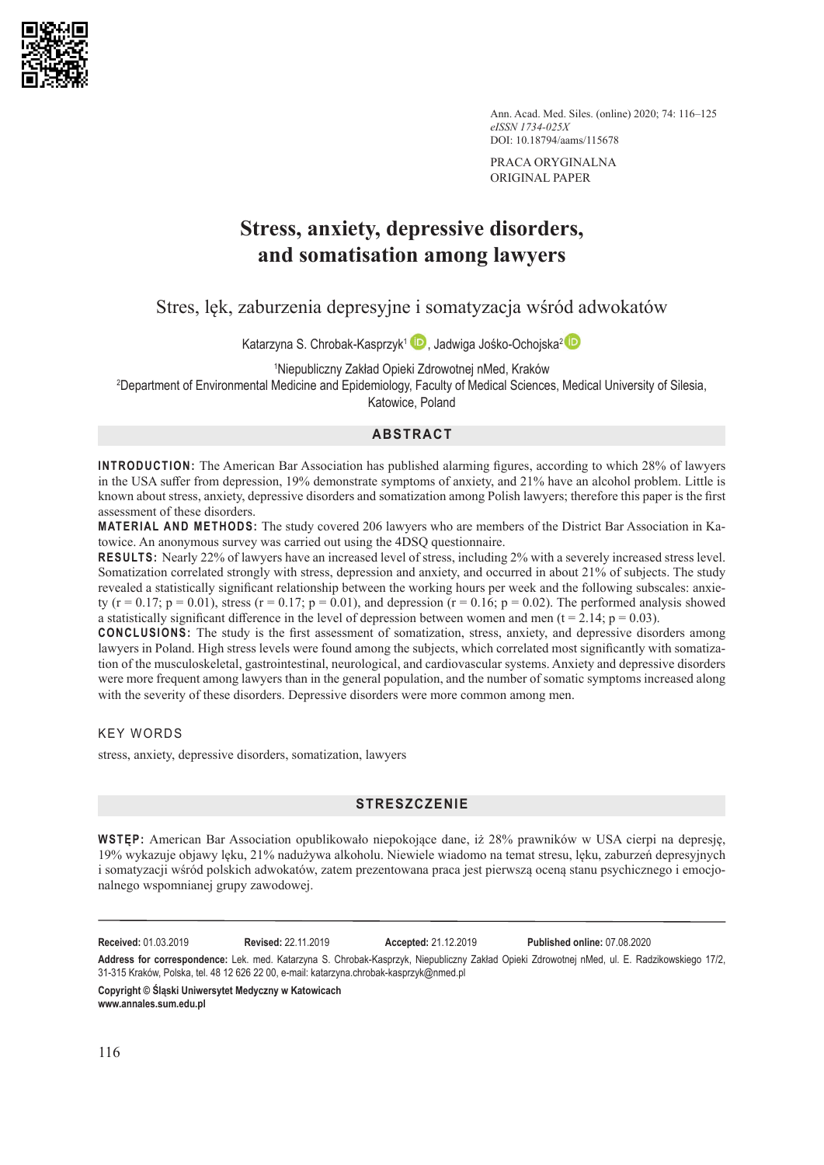

Ann. Acad. Med. Siles. (online) 2020; 74: 116–125 *eISSN 1734-025X* DOI: 10.18794/aams/115678

PRACA ORYGINALNA ORIGINAL PAPER

# **Stress, anxiety, depressive disorders, and somatisation among lawyers**

Stres, lęk, zaburzenia depresyjne i somatyzacja wśród adwokatów

Katarzyna S. Chrobak-Kasprzyk<sup>1</sup> [,](https://orcid.org/0000-0002-3704-4950) Jadwiga Jośko-Ochojska<sup>[2](https://orcid.org/0000-0001-9310-9088)</sup> D

1 Niepubliczny Zakład Opieki Zdrowotnej nMed, Kraków

2 Department of Environmental Medicine and Epidemiology, Faculty of Medical Sciences, Medical University of Silesia, Katowice, Poland

# **ABSTRACT**

**INTRODUCTION:** The American Bar Association has published alarming figures, according to which 28% of lawyers in the USA suffer from depression, 19% demonstrate symptoms of anxiety, and 21% have an alcohol problem. Little is known about stress, anxiety, depressive disorders and somatization among Polish lawyers; therefore this paper is the first assessment of these disorders.

**MATERIAL AND METHODS:** The study covered 206 lawyers who are members of the District Bar Association in Katowice. An anonymous survey was carried out using the 4DSQ questionnaire.

**RESULTS:** Nearly 22% of lawyers have an increased level of stress, including 2% with a severely increased stress level. Somatization correlated strongly with stress, depression and anxiety, and occurred in about 21% of subjects. The study revealed a statistically significant relationship between the working hours per week and the following subscales: anxiety (r = 0.17; p = 0.01), stress (r = 0.17; p = 0.01), and depression (r = 0.16; p = 0.02). The performed analysis showed a statistically significant difference in the level of depression between women and men ( $t = 2.14$ ;  $p = 0.03$ ).

**CONCLUSIONS:** The study is the first assessment of somatization, stress, anxiety, and depressive disorders among lawyers in Poland. High stress levels were found among the subjects, which correlated most significantly with somatization of the musculoskeletal, gastrointestinal, neurological, and cardiovascular systems. Anxiety and depressive disorders were more frequent among lawyers than in the general population, and the number of somatic symptoms increased along with the severity of these disorders. Depressive disorders were more common among men.

KEY WORDS

stress, anxiety, depressive disorders, somatization, lawyers

# **STRESZCZENIE**

**WSTĘP:** American Bar Association opublikowało niepokojące dane, iż 28% prawników w USA cierpi na depresję, 19% wykazuje objawy lęku, 21% nadużywa alkoholu. Niewiele wiadomo na temat stresu, lęku, zaburzeń depresyjnych i somatyzacji wśród polskich adwokatów, zatem prezentowana praca jest pierwszą oceną stanu psychicznego i emocjonalnego wspomnianej grupy zawodowej.

**Received:** 01.03.2019 **Revised:** 22.11.2019 **Accepted:** 21.12.2019 **Published online:** 07.08.2020

**Address for correspondence:** Lek. med. Katarzyna S. Chrobak-Kasprzyk, Niepubliczny Zakład Opieki Zdrowotnej nMed, ul. E. Radzikowskiego 17/2, 31-315 Kraków, Polska, tel. 48 12 626 22 00, e-mail: katarzyna.chrobak-kasprzyk@nmed.pl

**Copyright © Śląski Uniwersytet Medyczny w Katowicach www.annales.sum.edu.pl**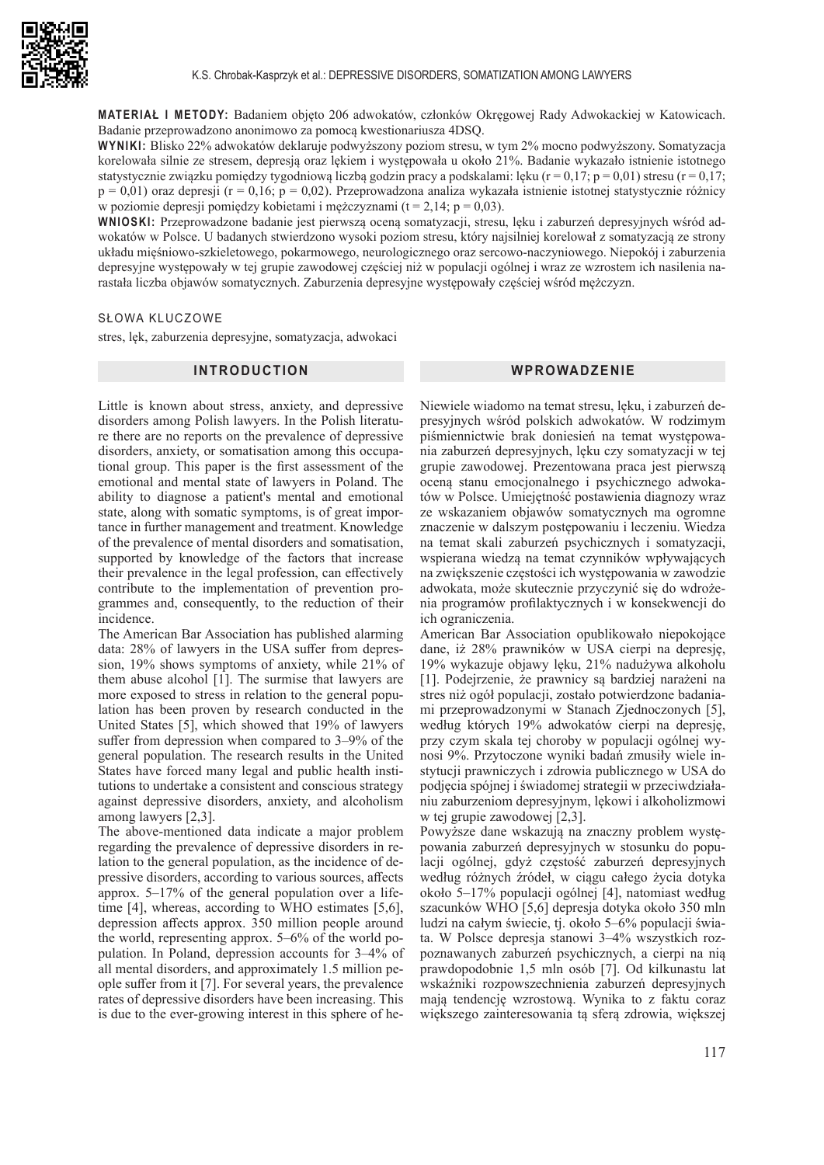

**MATERIAŁ I METODY:** Badaniem objęto 206 adwokatów, członków Okręgowej Rady Adwokackiej w Katowicach. Badanie przeprowadzono anonimowo za pomocą kwestionariusza 4DSQ.

**WYNIKI:** Blisko 22% adwokatów deklaruje podwyższony poziom stresu, w tym 2% mocno podwyższony. Somatyzacja korelowała silnie ze stresem, depresją oraz lękiem i występowała u około 21%. Badanie wykazało istnienie istotnego statystycznie związku pomiędzy tygodniową liczbą godzin pracy a podskalami: lęku (r = 0,17; p = 0,01) stresu (r = 0,17;  $p = 0.01$ ) oraz depresji (r = 0,16; p = 0,02). Przeprowadzona analiza wykazała istnienie istotnej statystycznie różnicy w poziomie depresji pomiędzy kobietami i mężczyznami ( $t = 2,14$ ; p = 0,03).

**WNIOSKI:** Przeprowadzone badanie jest pierwszą oceną somatyzacji, stresu, lęku i zaburzeń depresyjnych wśród adwokatów w Polsce. U badanych stwierdzono wysoki poziom stresu, który najsilniej korelował z somatyzacją ze strony układu mięśniowo-szkieletowego, pokarmowego, neurologicznego oraz sercowo-naczyniowego. Niepokój i zaburzenia depresyjne występowały w tej grupie zawodowej częściej niż w populacji ogólnej i wraz ze wzrostem ich nasilenia narastała liczba objawów somatycznych. Zaburzenia depresyjne występowały częściej wśród mężczyzn.

### SŁOWA KLUCZOWE

stres, lęk, zaburzenia depresyjne, somatyzacja, adwokaci

## **INTRODUCTION**

# **WPROWADZENIE**

Little is known about stress, anxiety, and depressive disorders among Polish lawyers. In the Polish literature there are no reports on the prevalence of depressive disorders, anxiety, or somatisation among this occupational group. This paper is the first assessment of the emotional and mental state of lawyers in Poland. The ability to diagnose a patient's mental and emotional state, along with somatic symptoms, is of great importance in further management and treatment. Knowledge of the prevalence of mental disorders and somatisation, supported by knowledge of the factors that increase their prevalence in the legal profession, can effectively contribute to the implementation of prevention programmes and, consequently, to the reduction of their incidence.

The American Bar Association has published alarming data: 28% of lawyers in the USA suffer from depression, 19% shows symptoms of anxiety, while 21% of them abuse alcohol [1]. The surmise that lawyers are more exposed to stress in relation to the general population has been proven by research conducted in the United States [5], which showed that 19% of lawyers suffer from depression when compared to 3–9% of the general population. The research results in the United States have forced many legal and public health institutions to undertake a consistent and conscious strategy against depressive disorders, anxiety, and alcoholism among lawyers [2,3].

The above-mentioned data indicate a major problem regarding the prevalence of depressive disorders in relation to the general population, as the incidence of depressive disorders, according to various sources, affects approx. 5–17% of the general population over a lifetime [4], whereas, according to WHO estimates [5,6], depression affects approx. 350 million people around the world, representing approx. 5–6% of the world population. In Poland, depression accounts for 3–4% of all mental disorders, and approximately 1.5 million people suffer from it [7]. For several years, the prevalence rates of depressive disorders have been increasing. This is due to the ever-growing interest in this sphere of heNiewiele wiadomo na temat stresu, lęku, i zaburzeń depresyjnych wśród polskich adwokatów. W rodzimym piśmiennictwie brak doniesień na temat występowania zaburzeń depresyjnych, lęku czy somatyzacji w tej grupie zawodowej. Prezentowana praca jest pierwszą oceną stanu emocjonalnego i psychicznego adwokatów w Polsce. Umiejętność postawienia diagnozy wraz ze wskazaniem objawów somatycznych ma ogromne znaczenie w dalszym postępowaniu i leczeniu. Wiedza na temat skali zaburzeń psychicznych i somatyzacji, wspierana wiedzą na temat czynników wpływających na zwiększenie częstości ich występowania w zawodzie adwokata, może skutecznie przyczynić się do wdrożenia programów profilaktycznych i w konsekwencji do ich ograniczenia.

American Bar Association opublikowało niepokojące dane, iż 28% prawników w USA cierpi na depresję, 19% wykazuje objawy lęku, 21% nadużywa alkoholu [1]. Podejrzenie, że prawnicy są bardziej narażeni na stres niż ogół populacji, zostało potwierdzone badaniami przeprowadzonymi w Stanach Zjednoczonych [5], według których 19% adwokatów cierpi na depresję, przy czym skala tej choroby w populacji ogólnej wynosi 9%. Przytoczone wyniki badań zmusiły wiele instytucji prawniczych i zdrowia publicznego w USA do podjęcia spójnej i świadomej strategii w przeciwdziałaniu zaburzeniom depresyjnym, lękowi i alkoholizmowi w tej grupie zawodowej [2,3].

Powyższe dane wskazują na znaczny problem występowania zaburzeń depresyjnych w stosunku do populacji ogólnej, gdyż częstość zaburzeń depresyjnych według różnych źródeł, w ciągu całego życia dotyka około 5–17% populacji ogólnej [4], natomiast według szacunków WHO [5,6] depresja dotyka około 350 mln ludzi na całym świecie, tj. około 5–6% populacji świata. W Polsce depresja stanowi 3–4% wszystkich rozpoznawanych zaburzeń psychicznych, a cierpi na nią prawdopodobnie 1,5 mln osób [7]. Od kilkunastu lat wskaźniki rozpowszechnienia zaburzeń depresyjnych mają tendencję wzrostową. Wynika to z faktu coraz większego zainteresowania tą sferą zdrowia, większej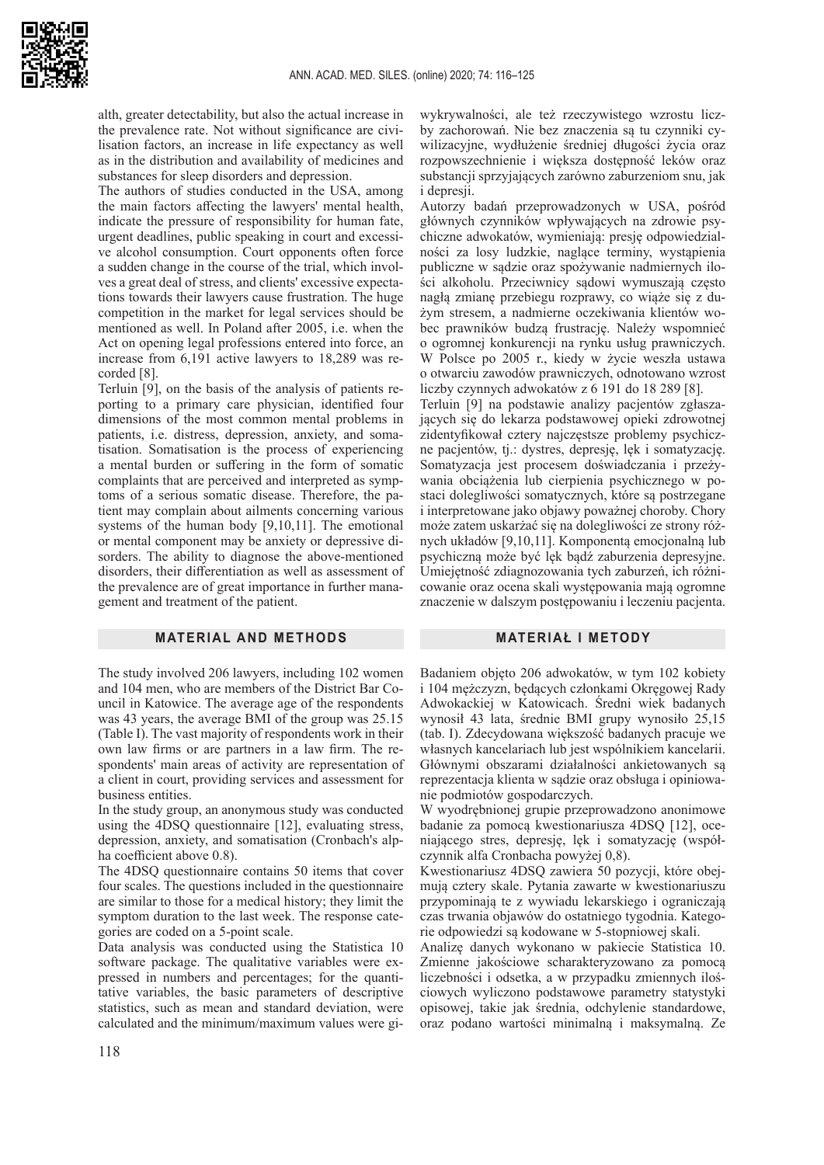alth, greater detectability, but also the actual increase in the prevalence rate. Not without significance are civilisation factors, an increase in life expectancy as well as in the distribution and availability of medicines and substances for sleep disorders and depression.

The authors of studies conducted in the USA, among the main factors affecting the lawyers' mental health, indicate the pressure of responsibility for human fate, urgent deadlines, public speaking in court and excessive alcohol consumption. Court opponents often force a sudden change in the course of the trial, which involves a great deal of stress, and clients' excessive expectations towards their lawyers cause frustration. The huge competition in the market for legal services should be mentioned as well. In Poland after 2005, i.e. when the Act on opening legal professions entered into force, an increase from 6,191 active lawyers to 18,289 was recorded [8].

Terluin [9], on the basis of the analysis of patients reporting to a primary care physician, identified four dimensions of the most common mental problems in patients, i.e. distress, depression, anxiety, and somatisation. Somatisation is the process of experiencing a mental burden or suffering in the form of somatic complaints that are perceived and interpreted as symptoms of a serious somatic disease. Therefore, the patient may complain about ailments concerning various systems of the human body [9,10,11]. The emotional or mental component may be anxiety or depressive disorders. The ability to diagnose the above-mentioned disorders, their differentiation as well as assessment of the prevalence are of great importance in further management and treatment of the patient.

### **MATERIAL AND METHODS**

The study involved 206 lawyers, including 102 women and 104 men, who are members of the District Bar Council in Katowice. The average age of the respondents was 43 years, the average BMI of the group was 25.15 (Table I). The vast majority of respondents work in their own law firms or are partners in a law firm. The respondents' main areas of activity are representation of a client in court, providing services and assessment for business entities.

In the study group, an anonymous study was conducted using the 4DSQ questionnaire [12], evaluating stress, depression, anxiety, and somatisation (Cronbach's alpha coefficient above 0.8).

The 4DSQ questionnaire contains 50 items that cover four scales. The questions included in the questionnaire are similar to those for a medical history; they limit the symptom duration to the last week. The response categories are coded on a 5-point scale.

Data analysis was conducted using the Statistica 10 software package. The qualitative variables were expressed in numbers and percentages; for the quantitative variables, the basic parameters of descriptive statistics, such as mean and standard deviation, were calculated and the minimum/maximum values were gi-

wykrywalności, ale też rzeczywistego wzrostu liczby zachorowań. Nie bez znaczenia są tu czynniki cywilizacyjne, wydłużenie średniej długości życia oraz rozpowszechnienie i większa dostępność leków oraz substancji sprzyjających zarówno zaburzeniom snu, jak i depresii.

Autorzy badań przeprowadzonych w USA, pośród głównych czynników wpływających na zdrowie psychiczne adwokatów, wymieniają: presję odpowiedzialności za losy ludzkie, naglące terminy, wystąpienia publiczne w sądzie oraz spożywanie nadmiernych ilości alkoholu. Przeciwnicy sądowi wymuszają często nagłą zmianę przebiegu rozprawy, co wiąże się z dużym stresem, a nadmierne oczekiwania klientów wobec prawników budzą frustrację. Należy wspomnieć o ogromnej konkurencji na rynku usług prawniczych. W Polsce po 2005 r., kiedy w życie weszła ustawa o otwarciu zawodów prawniczych, odnotowano wzrost liczby czynnych adwokatów z 6 191 do 18 289 [8].

Terluin [9] na podstawie analizy pacjentów zgłaszających się do lekarza podstawowej opieki zdrowotnej zidentyfikował cztery najczęstsze problemy psychiczne pacjentów, tj.: dystres, depresję, lęk i somatyzację. Somatyzacja jest procesem doświadczania i przeżywania obciążenia lub cierpienia psychicznego w postaci dolegliwości somatycznych, które są postrzegane i interpretowane jako objawy poważnej choroby. Chory może zatem uskarżać się na dolegliwości ze strony różnych układów [9,10,11]. Komponentą emocjonalną lub psychiczną może być lęk bądź zaburzenia depresyjne. Umiejętność zdiagnozowania tych zaburzeń, ich różnicowanie oraz ocena skali występowania mają ogromne znaczenie w dalszym postępowaniu i leczeniu pacjenta.

#### **MATERIAŁ I METODY**

Badaniem objęto 206 adwokatów, w tym 102 kobiety i 104 mężczyzn, będących członkami Okręgowej Rady Adwokackiej w Katowicach. Średni wiek badanych wynosił 43 lata, średnie BMI grupy wynosiło 25,15 (tab. I). Zdecydowana większość badanych pracuje we własnych kancelariach lub jest wspólnikiem kancelarii. Głównymi obszarami działalności ankietowanych są reprezentacja klienta w sądzie oraz obsługa i opiniowanie podmiotów gospodarczych.

W wyodrębnionej grupie przeprowadzono anonimowe badanie za pomocą kwestionariusza 4DSQ [12], oceniającego stres, depresję, lęk i somatyzację (współczynnik alfa Cronbacha powyżej 0,8).

Kwestionariusz 4DSQ zawiera 50 pozycji, które obejmują cztery skale. Pytania zawarte w kwestionariuszu przypominają te z wywiadu lekarskiego i ograniczają czas trwania objawów do ostatniego tygodnia. Kategorie odpowiedzi są kodowane w 5-stopniowej skali.

Analizę danych wykonano w pakiecie Statistica 10. Zmienne jakościowe scharakteryzowano za pomocą liczebności i odsetka, a w przypadku zmiennych ilościowych wyliczono podstawowe parametry statystyki opisowej, takie jak średnia, odchylenie standardowe, oraz podano wartości minimalną i maksymalną. Ze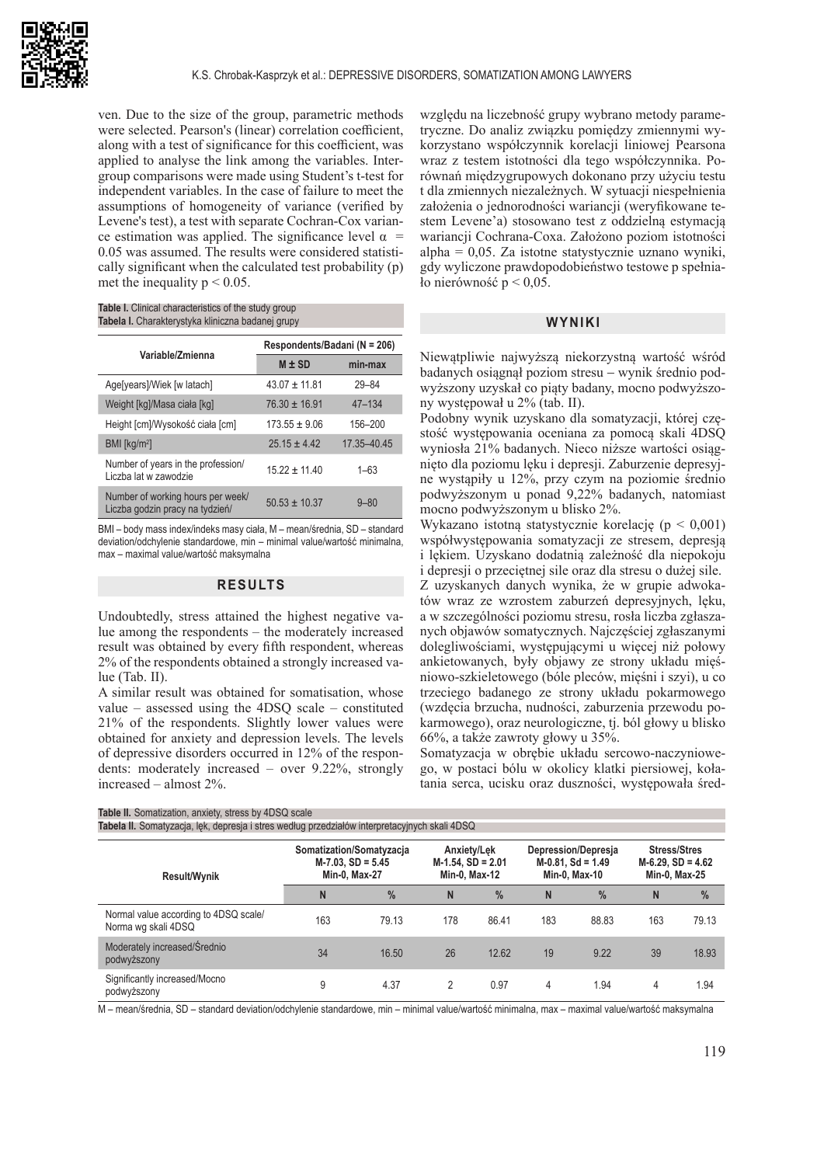

ven. Due to the size of the group, parametric methods were selected. Pearson's (linear) correlation coefficient, along with a test of significance for this coefficient, was applied to analyse the link among the variables. Intergroup comparisons were made using Student's t-test for independent variables. In the case of failure to meet the assumptions of homogeneity of variance (verified by Levene's test), a test with separate Cochran-Cox variance estimation was applied. The significance level  $\alpha$  = 0.05 was assumed. The results were considered statistically significant when the calculated test probability (p) met the inequality  $p < 0.05$ .

**Table I.** Clinical characteristics of the study group **Tabela I.** Charakterystyka kliniczna badanej grupy

| Variable/Zmienna                                                     | Respondents/Badani (N = 206) |             |  |  |  |
|----------------------------------------------------------------------|------------------------------|-------------|--|--|--|
|                                                                      | $M \pm SD$                   | min-max     |  |  |  |
| Age[years]/Wiek [w latach]                                           | $43.07 \pm 11.81$            | $29 - 84$   |  |  |  |
| Weight [kg]/Masa ciała [kg]                                          | $76.30 \pm 16.91$            | $47 - 134$  |  |  |  |
| Height [cm]/Wysokość ciała [cm]                                      | $173.55 \pm 9.06$            | 156-200     |  |  |  |
| $BMI$ [kg/m <sup>2</sup> ]                                           | $25.15 \pm 4.42$             | 17.35-40.45 |  |  |  |
| Number of years in the profession/<br>Liczba lat w zawodzie          | $15.22 \pm 11.40$            | $1 - 63$    |  |  |  |
| Number of working hours per week/<br>Liczba godzin pracy na tydzień/ | $50.53 \pm 10.37$            | $9 - 80$    |  |  |  |

BMI – body mass index/indeks masy ciała, M – mean/średnia, SD – standard deviation/odchylenie standardowe, min – minimal value/wartość minimalna, max – maximal value/wartość maksymalna

#### **RESULTS**

Undoubtedly, stress attained the highest negative value among the respondents – the moderately increased result was obtained by every fifth respondent, whereas 2% of the respondents obtained a strongly increased value (Tab. II).

A similar result was obtained for somatisation, whose value – assessed using the 4DSQ scale – constituted 21% of the respondents. Slightly lower values were obtained for anxiety and depression levels. The levels of depressive disorders occurred in 12% of the respondents: moderately increased – over 9.22%, strongly increased – almost 2%.

względu na liczebność grupy wybrano metody parametryczne. Do analiz związku pomiędzy zmiennymi wykorzystano współczynnik korelacji liniowej Pearsona wraz z testem istotności dla tego współczynnika. Porównań międzygrupowych dokonano przy użyciu testu t dla zmiennych niezależnych. W sytuacji niespełnienia założenia o jednorodności wariancji (weryfikowane testem Levene'a) stosowano test z oddzielną estymacją wariancji Cochrana-Coxa. Założono poziom istotności alpha = 0,05. Za istotne statystycznie uznano wyniki, gdy wyliczone prawdopodobieństwo testowe p spełniało nierówność  $p < 0.05$ .

#### **WYNIKI**

Niewątpliwie najwyższą niekorzystną wartość wśród badanych osiągnął poziom stresu − wynik średnio podwyższony uzyskał co piąty badany, mocno podwyższony występował u 2% (tab. II).

Podobny wynik uzyskano dla somatyzacji, której częstość występowania oceniana za pomocą skali 4DSQ wyniosła 21% badanych. Nieco niższe wartości osiągnięto dla poziomu lęku i depresji. Zaburzenie depresyjne wystąpiły u 12%, przy czym na poziomie średnio podwyższonym u ponad 9,22% badanych, natomiast mocno podwyższonym u blisko 2%.

Wykazano istotną statystycznie korelację (p < 0,001) współwystępowania somatyzacji ze stresem, depresją i lękiem. Uzyskano dodatnią zależność dla niepokoju i depresji o przeciętnej sile oraz dla stresu o dużej sile.

Z uzyskanych danych wynika, że w grupie adwokatów wraz ze wzrostem zaburzeń depresyjnych, lęku, a w szczególności poziomu stresu, rosła liczba zgłaszanych objawów somatycznych. Najczęściej zgłaszanymi dolegliwościami, występującymi u więcej niż połowy ankietowanych, były objawy ze strony układu mięśniowo-szkieletowego (bóle pleców, mięśni i szyi), u co trzeciego badanego ze strony układu pokarmowego (wzdęcia brzucha, nudności, zaburzenia przewodu pokarmowego), oraz neurologiczne, tj. ból głowy u blisko 66%, a także zawroty głowy u 35%.

Somatyzacja w obrębie układu sercowo-naczyniowego, w postaci bólu w okolicy klatki piersiowej, kołatania serca, ucisku oraz duszności, występowała śred-

| Table II. Somatization, anxiety, stress by 4DSQ scale                                         |                                                                   |               |                                                      |               |                                                              |       |                                                              |               |
|-----------------------------------------------------------------------------------------------|-------------------------------------------------------------------|---------------|------------------------------------------------------|---------------|--------------------------------------------------------------|-------|--------------------------------------------------------------|---------------|
| Tabela II. Somatyzacja, lęk, depresja i stres według przedziałów interpretacyjnych skali 4DSQ |                                                                   |               |                                                      |               |                                                              |       |                                                              |               |
| <b>Result/Wynik</b>                                                                           | Somatization/Somatyzacja<br>$M-7.03$ , SD = 5.45<br>Min-0, Max-27 |               | Anxiety/Lek<br>$M-1.54$ , SD = 2.01<br>Min-0, Max-12 |               | Depression/Depresia<br>$M-0.81$ , Sd = 1.49<br>Min-0. Max-10 |       | <b>Stress/Stres</b><br>$M-6.29$ , SD = 4.62<br>Min-0, Max-25 |               |
|                                                                                               | N                                                                 | $\frac{0}{0}$ | N                                                    | $\frac{9}{6}$ | N                                                            | $\%$  | N                                                            | $\frac{0}{0}$ |
| Normal value according to 4DSQ scale/<br>Norma wg skali 4DSQ                                  | 163                                                               | 79.13         | 178                                                  | 86.41         | 183                                                          | 88.83 | 163                                                          | 79.13         |
| Moderately increased/Średnio<br>podwyższony                                                   | 34                                                                | 16.50         | 26                                                   | 12.62         | 19                                                           | 9.22  | 39                                                           | 18.93         |
| Significantly increased/Mocno<br>podwyższony                                                  | 9                                                                 | 4.37          | 2                                                    | 0.97          | 4                                                            | 1.94  | 4                                                            | 1.94          |

M – mean/średnia, SD – standard deviation/odchylenie standardowe, min – minimal value/wartość minimalna, max – maximal value/wartość maksymalna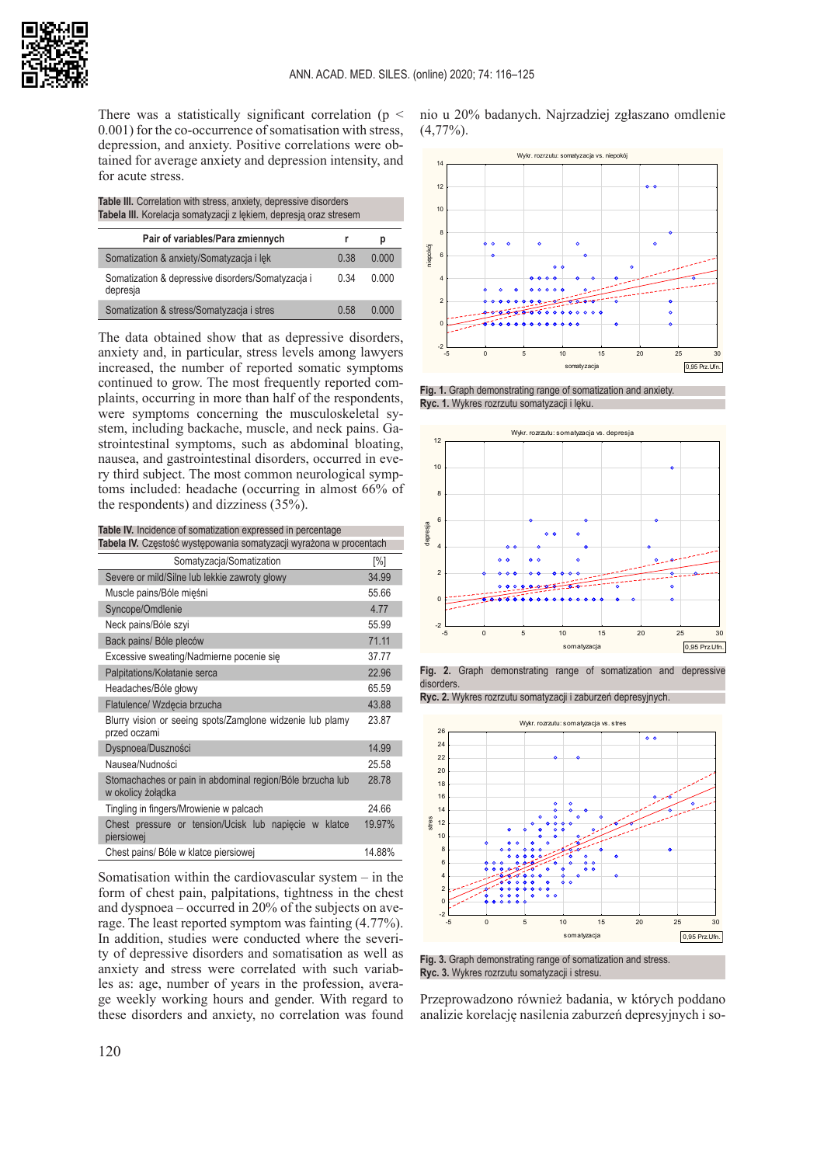

There was a statistically significant correlation ( $p \leq$ 0.001) for the co-occurrence of somatisation with stress, depression, and anxiety. Positive correlations were obtained for average anxiety and depression intensity, and for acute stress.

| Table III. Correlation with stress, anxiety, depressive disorders |
|-------------------------------------------------------------------|
| Tabela III. Korelacja somatyzacji z lękiem, depresją oraz stresem |

| Pair of variables/Para zmiennych                              |      | p     |
|---------------------------------------------------------------|------|-------|
| Somatization & anxiety/Somatyzacja i lek                      | 0.38 | 0.000 |
| Somatization & depressive disorders/Somatyzacja i<br>depresia | 0.34 | 0.000 |
| Somatization & stress/Somatyzacja i stres                     | 0.58 | n nnn |

The data obtained show that as depressive disorders, anxiety and, in particular, stress levels among lawyers increased, the number of reported somatic symptoms continued to grow. The most frequently reported complaints, occurring in more than half of the respondents, were symptoms concerning the musculoskeletal system, including backache, muscle, and neck pains. Gastrointestinal symptoms, such as abdominal bloating, nausea, and gastrointestinal disorders, occurred in every third subject. The most common neurological symptoms included: headache (occurring in almost 66% of the respondents) and dizziness (35%).

**Table IV.** Incidence of somatization expressed in percentage

| Tabela IV. Częstość występowania somatyzacji wyrażona w procentach             |        |  |  |  |  |
|--------------------------------------------------------------------------------|--------|--|--|--|--|
| Somatyzacja/Somatization                                                       | [%]    |  |  |  |  |
| Severe or mild/Silne lub lekkie zawroty głowy                                  | 34.99  |  |  |  |  |
| Muscle pains/Bóle mięśni                                                       | 55.66  |  |  |  |  |
| Syncope/Omdlenie                                                               | 4.77   |  |  |  |  |
| Neck pains/Bóle szyi                                                           | 55.99  |  |  |  |  |
| Back pains/ Bóle pleców                                                        | 71.11  |  |  |  |  |
| Excessive sweating/Nadmierne pocenie się                                       | 37.77  |  |  |  |  |
| Palpitations/Kołatanie serca                                                   | 22.96  |  |  |  |  |
| Headaches/Bóle głowy                                                           | 65.59  |  |  |  |  |
| Flatulence/ Wzdęcia brzucha                                                    | 43.88  |  |  |  |  |
| Blurry vision or seeing spots/Zamglone widzenie lub plamy<br>przed oczami      | 23.87  |  |  |  |  |
| Dyspnoea/Duszności                                                             | 14.99  |  |  |  |  |
| Nausea/Nudności                                                                | 25.58  |  |  |  |  |
| Stomachaches or pain in abdominal region/Bóle brzucha lub<br>w okolicy żołądka | 28.78  |  |  |  |  |
| Tingling in fingers/Mrowienie w palcach                                        | 24 66  |  |  |  |  |
| Chest pressure or tension/Ucisk lub napiecie w klatce<br>piersiowej            | 19.97% |  |  |  |  |
| Chest pains/ Bóle w klatce piersiowej                                          | 14.88% |  |  |  |  |

Somatisation within the cardiovascular system – in the form of chest pain, palpitations, tightness in the chest and dyspnoea – occurred in 20% of the subjects on average. The least reported symptom was fainting (4.77%). In addition, studies were conducted where the severity of depressive disorders and somatisation as well as anxiety and stress were correlated with such variables as: age, number of years in the profession, average weekly working hours and gender. With regard to these disorders and anxiety, no correlation was found

nio u 20% badanych. Najrzadziej zgłaszano omdlenie  $(4,77\%)$ .



**Fig. 1.** Graph demonstrating range of somatization and anxiety. **Ryc. 1.** Wykres rozrzutu somatyzacji i lęku.





**Ryc. 2.** Wykres rozrzutu somatyzacji i zaburzeń depresyjnych.



**Fig. 3.** Graph demonstrating range of somatization and stress. **Ryc. 3.** Wykres rozrzutu somatyzacji i stresu.

Przeprowadzono również badania, w których poddano analizie korelację nasilenia zaburzeń depresyjnych i so-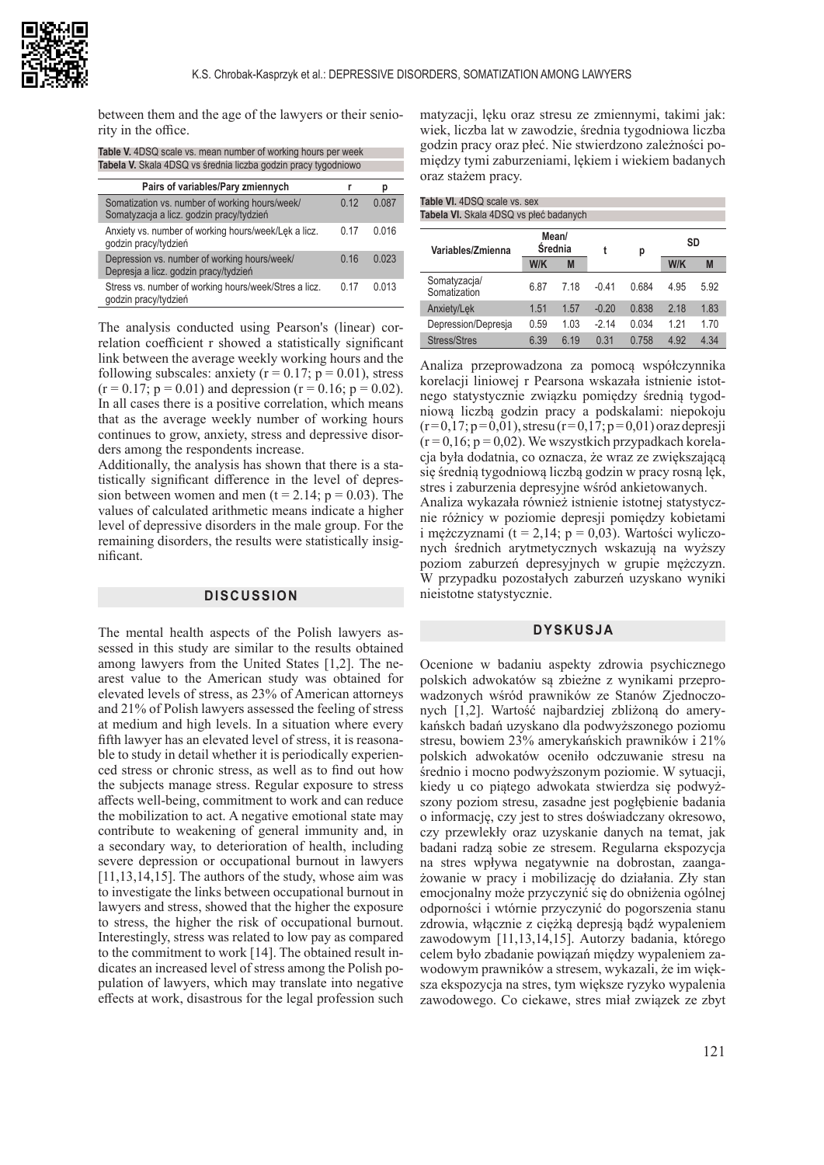

between them and the age of the lawyers or their seniority in the office.

| <b>Table V.</b> 4DSQ scale vs. mean number of working hours per week |  |
|----------------------------------------------------------------------|--|
| Tabela V. Skala 4DSQ vs średnia liczba godzin pracy tygodniowo       |  |

| Pairs of variables/Pary zmiennych                                                          |      | р     |
|--------------------------------------------------------------------------------------------|------|-------|
| Somatization vs. number of working hours/week/<br>Somatyzacja a licz. godzin pracy/tydzień | 0.12 | 0.087 |
| Anxiety vs. number of working hours/week/Lek a licz.<br>qodzin pracy/tydzień               | በ 17 | 0.016 |
| Depression vs. number of working hours/week/<br>Depresja a licz. godzin pracy/tydzień      | 0.16 | 0.023 |
| Stress vs. number of working hours/week/Stres a licz.<br>godzin pracy/tydzień              | በ 17 | 0.013 |
|                                                                                            |      |       |

The analysis conducted using Pearson's (linear) correlation coefficient r showed a statistically significant link between the average weekly working hours and the following subscales: anxiety ( $r = 0.17$ ;  $p = 0.01$ ), stress  $(r = 0.17; p = 0.01)$  and depression  $(r = 0.16; p = 0.02)$ . In all cases there is a positive correlation, which means that as the average weekly number of working hours continues to grow, anxiety, stress and depressive disorders among the respondents increase.

Additionally, the analysis has shown that there is a statistically significant difference in the level of depression between women and men ( $t = 2.14$ ;  $p = 0.03$ ). The values of calculated arithmetic means indicate a higher level of depressive disorders in the male group. For the remaining disorders, the results were statistically insignificant.

### **DISCUSSION**

The mental health aspects of the Polish lawyers assessed in this study are similar to the results obtained among lawyers from the United States [1,2]. The nearest value to the American study was obtained for elevated levels of stress, as 23% of American attorneys and 21% of Polish lawyers assessed the feeling of stress at medium and high levels. In a situation where every fifth lawyer has an elevated level of stress, it is reasonable to study in detail whether it is periodically experienced stress or chronic stress, as well as to find out how the subjects manage stress. Regular exposure to stress affects well-being, commitment to work and can reduce the mobilization to act. A negative emotional state may contribute to weakening of general immunity and, in a secondary way, to deterioration of health, including severe depression or occupational burnout in lawyers [11,13,14,15]. The authors of the study, whose aim was to investigate the links between occupational burnout in lawyers and stress, showed that the higher the exposure to stress, the higher the risk of occupational burnout. Interestingly, stress was related to low pay as compared to the commitment to work [14]. The obtained result indicates an increased level of stress among the Polish population of lawyers, which may translate into negative effects at work, disastrous for the legal profession such

matyzacji, lęku oraz stresu ze zmiennymi, takimi jak: wiek, liczba lat w zawodzie, średnia tygodniowa liczba godzin pracy oraz płeć. Nie stwierdzono zależności pomiędzy tymi zaburzeniami, lękiem i wiekiem badanych oraz stażem pracy.

| Table VI. 4DSQ scale vs. sex           |                  |      |         |       |      |      |  |
|----------------------------------------|------------------|------|---------|-------|------|------|--|
| Tabela VI. Skala 4DSQ vs płeć badanych |                  |      |         |       |      |      |  |
| Variables/Zmienna                      | Mean/<br>Średnia |      | t       | р     | SD   |      |  |
|                                        | W/K<br>M         |      | W/K     |       | M    |      |  |
| Somatyzacja/<br>Somatization           | 6.87             | 7 18 | $-0.41$ | 0.684 | 4.95 | 5.92 |  |
| Anxiety/Lek                            | 1.51             | 1.57 | $-0.20$ | 0.838 | 2.18 | 1.83 |  |
| Depression/Depresia                    | 0.59             | 1.03 | $-214$  | 0.034 | 1.21 | 1.70 |  |
| Stress/Stres                           | 6.39             | 6 19 | 0.31    | 0.758 | 4.92 | 4.34 |  |

Analiza przeprowadzona za pomocą współczynnika korelacji liniowej r Pearsona wskazała istnienie istotnego statystycznie związku pomiędzy średnią tygodniową liczbą godzin pracy a podskalami: niepokoju  $(r=0,17; p=0,01)$ , stresu  $(r=0,17; p=0,01)$  oraz depresji  $(r=0,16; p=0,02)$ . We wszystkich przypadkach korelacja była dodatnia, co oznacza, że wraz ze zwiększającą się średnią tygodniową liczbą godzin w pracy rosną lęk, stres i zaburzenia depresyjne wśród ankietowanych.

Analiza wykazała również istnienie istotnej statystycznie różnicy w poziomie depresji pomiędzy kobietami i mężczyznami (t = 2,14;  $p = 0.03$ ). Wartości wyliczonych średnich arytmetycznych wskazują na wyższy poziom zaburzeń depresyjnych w grupie mężczyzn. W przypadku pozostałych zaburzeń uzyskano wyniki nieistotne statystycznie.

#### **DYSKUSJA**

Ocenione w badaniu aspekty zdrowia psychicznego polskich adwokatów są zbieżne z wynikami przeprowadzonych wśród prawników ze Stanów Zjednoczonych [1,2]. Wartość najbardziej zbliżoną do amerykańskch badań uzyskano dla podwyższonego poziomu stresu, bowiem 23% amerykańskich prawników i 21% polskich adwokatów oceniło odczuwanie stresu na średnio i mocno podwyższonym poziomie. W sytuacji, kiedy u co piątego adwokata stwierdza się podwyższony poziom stresu, zasadne jest pogłębienie badania o informację, czy jest to stres doświadczany okresowo, czy przewlekły oraz uzyskanie danych na temat, jak badani radzą sobie ze stresem. Regularna ekspozycja na stres wpływa negatywnie na dobrostan, zaangażowanie w pracy i mobilizację do działania. Zły stan emocjonalny może przyczynić się do obniżenia ogólnej odporności i wtórnie przyczynić do pogorszenia stanu zdrowia, włącznie z ciężką depresją bądź wypaleniem zawodowym [11,13,14,15]. Autorzy badania, którego celem było zbadanie powiązań między wypaleniem zawodowym prawników a stresem, wykazali, że im większa ekspozycja na stres, tym większe ryzyko wypalenia zawodowego. Co ciekawe, stres miał związek ze zbyt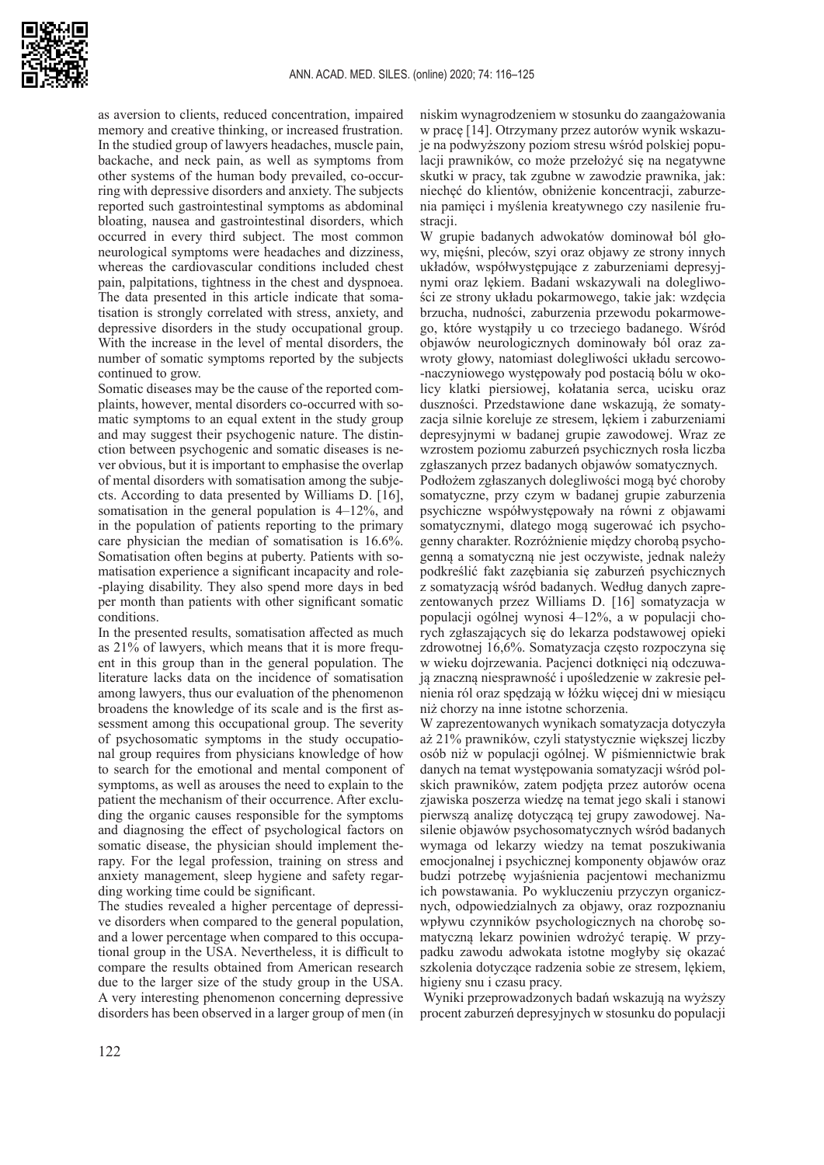

as aversion to clients, reduced concentration, impaired memory and creative thinking, or increased frustration. In the studied group of lawyers headaches, muscle pain, backache, and neck pain, as well as symptoms from other systems of the human body prevailed, co-occurring with depressive disorders and anxiety. The subjects reported such gastrointestinal symptoms as abdominal bloating, nausea and gastrointestinal disorders, which occurred in every third subject. The most common neurological symptoms were headaches and dizziness, whereas the cardiovascular conditions included chest pain, palpitations, tightness in the chest and dyspnoea. The data presented in this article indicate that somatisation is strongly correlated with stress, anxiety, and depressive disorders in the study occupational group. With the increase in the level of mental disorders, the number of somatic symptoms reported by the subjects continued to grow.

Somatic diseases may be the cause of the reported complaints, however, mental disorders co-occurred with somatic symptoms to an equal extent in the study group and may suggest their psychogenic nature. The distinction between psychogenic and somatic diseases is never obvious, but it is important to emphasise the overlap of mental disorders with somatisation among the subjects. According to data presented by Williams D. [16], somatisation in the general population is 4–12%, and in the population of patients reporting to the primary care physician the median of somatisation is 16.6%. Somatisation often begins at puberty. Patients with somatisation experience a significant incapacity and role- -playing disability. They also spend more days in bed per month than patients with other significant somatic conditions.

In the presented results, somatisation affected as much as 21% of lawyers, which means that it is more frequent in this group than in the general population. The literature lacks data on the incidence of somatisation among lawyers, thus our evaluation of the phenomenon broadens the knowledge of its scale and is the first assessment among this occupational group. The severity of psychosomatic symptoms in the study occupational group requires from physicians knowledge of how to search for the emotional and mental component of symptoms, as well as arouses the need to explain to the patient the mechanism of their occurrence. After excluding the organic causes responsible for the symptoms and diagnosing the effect of psychological factors on somatic disease, the physician should implement therapy. For the legal profession, training on stress and anxiety management, sleep hygiene and safety regarding working time could be significant.

The studies revealed a higher percentage of depressive disorders when compared to the general population, and a lower percentage when compared to this occupational group in the USA. Nevertheless, it is difficult to compare the results obtained from American research due to the larger size of the study group in the USA. A very interesting phenomenon concerning depressive disorders has been observed in a larger group of men (in niskim wynagrodzeniem w stosunku do zaangażowania w pracę [14]. Otrzymany przez autorów wynik wskazuje na podwyższony poziom stresu wśród polskiej populacji prawników, co może przełożyć się na negatywne skutki w pracy, tak zgubne w zawodzie prawnika, jak: niechęć do klientów, obniżenie koncentracji, zaburzenia pamięci i myślenia kreatywnego czy nasilenie frustracji.

W grupie badanych adwokatów dominował ból głowy, mięśni, pleców, szyi oraz objawy ze strony innych układów, współwystępujące z zaburzeniami depresyjnymi oraz lękiem. Badani wskazywali na dolegliwości ze strony układu pokarmowego, takie jak: wzdęcia brzucha, nudności, zaburzenia przewodu pokarmowego, które wystąpiły u co trzeciego badanego. Wśród objawów neurologicznych dominowały ból oraz zawroty głowy, natomiast dolegliwości układu sercowo- -naczyniowego występowały pod postacią bólu w okolicy klatki piersiowej, kołatania serca, ucisku oraz duszności. Przedstawione dane wskazują, że somatyzacia silnie koreluje ze stresem, lekiem i zaburzeniami depresyjnymi w badanej grupie zawodowej. Wraz ze wzrostem poziomu zaburzeń psychicznych rosła liczba zgłaszanych przez badanych objawów somatycznych.

Podłożem zgłaszanych dolegliwości mogą być choroby somatyczne, przy czym w badanej grupie zaburzenia psychiczne współwystępowały na równi z objawami somatycznymi, dlatego mogą sugerować ich psychogenny charakter. Rozróżnienie między chorobą psychogenną a somatyczną nie jest oczywiste, jednak należy podkreślić fakt zazębiania się zaburzeń psychicznych z somatyzacją wśród badanych. Według danych zaprezentowanych przez Williams D. [16] somatyzacja w populacji ogólnej wynosi 4–12%, a w populacji chorych zgłaszających się do lekarza podstawowej opieki zdrowotnej 16,6%. Somatyzacja często rozpoczyna się w wieku dojrzewania. Pacjenci dotknięci nią odczuwają znaczną niesprawność i upośledzenie w zakresie pełnienia ról oraz spędzają w łóżku więcej dni w miesiącu niż chorzy na inne istotne schorzenia.

W zaprezentowanych wynikach somatyzacja dotyczyła aż 21% prawników, czyli statystycznie większej liczby osób niż w populacji ogólnej. W piśmiennictwie brak danych na temat występowania somatyzacji wśród polskich prawników, zatem podjęta przez autorów ocena zjawiska poszerza wiedzę na temat jego skali i stanowi pierwszą analizę dotyczącą tej grupy zawodowej. Nasilenie objawów psychosomatycznych wśród badanych wymaga od lekarzy wiedzy na temat poszukiwania emocjonalnej i psychicznej komponenty objawów oraz budzi potrzebę wyjaśnienia pacjentowi mechanizmu ich powstawania. Po wykluczeniu przyczyn organicznych, odpowiedzialnych za objawy, oraz rozpoznaniu wpływu czynników psychologicznych na chorobę somatyczną lekarz powinien wdrożyć terapię. W przypadku zawodu adwokata istotne mogłyby się okazać szkolenia dotyczące radzenia sobie ze stresem, lękiem, higieny snu i czasu pracy.

 Wyniki przeprowadzonych badań wskazują na wyższy procent zaburzeń depresyjnych w stosunku do populacji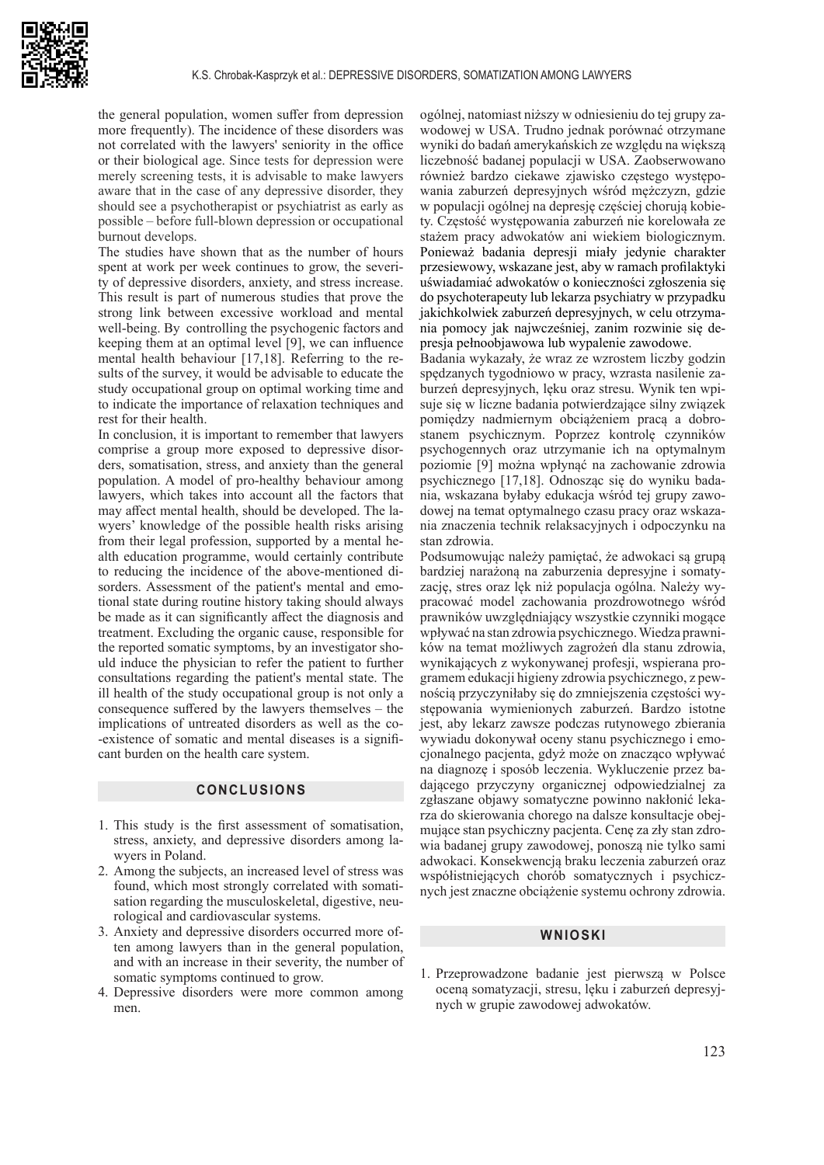

the general population, women suffer from depression more frequently). The incidence of these disorders was not correlated with the lawyers' seniority in the office or their biological age. Since tests for depression were merely screening tests, it is advisable to make lawyers aware that in the case of any depressive disorder, they should see a psychotherapist or psychiatrist as early as possible – before full-blown depression or occupational burnout develops.

The studies have shown that as the number of hours spent at work per week continues to grow, the severity of depressive disorders, anxiety, and stress increase. This result is part of numerous studies that prove the strong link between excessive workload and mental well-being. By controlling the psychogenic factors and keeping them at an optimal level [9], we can influence mental health behaviour [17,18]. Referring to the results of the survey, it would be advisable to educate the study occupational group on optimal working time and to indicate the importance of relaxation techniques and rest for their health.

In conclusion, it is important to remember that lawyers comprise a group more exposed to depressive disorders, somatisation, stress, and anxiety than the general population. A model of pro-healthy behaviour among lawyers, which takes into account all the factors that may affect mental health, should be developed. The lawyers' knowledge of the possible health risks arising from their legal profession, supported by a mental health education programme, would certainly contribute to reducing the incidence of the above-mentioned disorders. Assessment of the patient's mental and emotional state during routine history taking should always be made as it can significantly affect the diagnosis and treatment. Excluding the organic cause, responsible for the reported somatic symptoms, by an investigator should induce the physician to refer the patient to further consultations regarding the patient's mental state. The ill health of the study occupational group is not only a consequence suffered by the lawyers themselves – the implications of untreated disorders as well as the co- -existence of somatic and mental diseases is a significant burden on the health care system.

### **CONCLUSIONS**

- 1. This study is the first assessment of somatisation, stress, anxiety, and depressive disorders among lawyers in Poland.
- 2. Among the subjects, an increased level of stress was found, which most strongly correlated with somatisation regarding the musculoskeletal, digestive, neurological and cardiovascular systems.
- 3. Anxiety and depressive disorders occurred more often among lawyers than in the general population, and with an increase in their severity, the number of somatic symptoms continued to grow.
- 4. Depressive disorders were more common among men.

ogólnej, natomiast niższy w odniesieniu do tej grupy zawodowej w USA. Trudno jednak porównać otrzymane wyniki do badań amerykańskich ze względu na większą liczebność badanej populacji w USA. Zaobserwowano również bardzo ciekawe zjawisko częstego występowania zaburzeń depresyjnych wśród mężczyzn, gdzie w populacji ogólnej na depresję częściej chorują kobiety. Częstość występowania zaburzeń nie korelowała ze stażem pracy adwokatów ani wiekiem biologicznym. Ponieważ badania depresji miały jedynie charakter przesiewowy, wskazane jest, aby w ramach profilaktyki uświadamiać adwokatów o konieczności zgłoszenia się do psychoterapeuty lub lekarza psychiatry w przypadku jakichkolwiek zaburzeń depresyjnych, w celu otrzymania pomocy jak najwcześniej, zanim rozwinie się depresja pełnoobjawowa lub wypalenie zawodowe.

Badania wykazały, że wraz ze wzrostem liczby godzin spędzanych tygodniowo w pracy, wzrasta nasilenie zaburzeń depresyjnych, lęku oraz stresu. Wynik ten wpisuje się w liczne badania potwierdzające silny związek pomiędzy nadmiernym obciążeniem pracą a dobrostanem psychicznym. Poprzez kontrolę czynników psychogennych oraz utrzymanie ich na optymalnym poziomie [9] można wpłynąć na zachowanie zdrowia psychicznego [17,18]. Odnosząc się do wyniku badania, wskazana byłaby edukacja wśród tej grupy zawodowej na temat optymalnego czasu pracy oraz wskazania znaczenia technik relaksacyjnych i odpoczynku na stan zdrowia.

Podsumowując należy pamiętać, że adwokaci są grupą bardziej narażoną na zaburzenia depresyjne i somatyzację, stres oraz lęk niż populacja ogólna. Należy wypracować model zachowania prozdrowotnego wśród prawników uwzględniający wszystkie czynniki mogące wpływać na stan zdrowia psychicznego. Wiedza prawników na temat możliwych zagrożeń dla stanu zdrowia, wynikających z wykonywanej profesji, wspierana programem edukacji higieny zdrowia psychicznego, z pewnością przyczyniłaby się do zmniejszenia częstości występowania wymienionych zaburzeń. Bardzo istotne jest, aby lekarz zawsze podczas rutynowego zbierania wywiadu dokonywał oceny stanu psychicznego i emocjonalnego pacjenta, gdyż może on znacząco wpływać na diagnozę i sposób leczenia. Wykluczenie przez badającego przyczyny organicznej odpowiedzialnej za zgłaszane objawy somatyczne powinno nakłonić lekarza do skierowania chorego na dalsze konsultacje obejmujące stan psychiczny pacjenta. Cenę za zły stan zdrowia badanej grupy zawodowej, ponoszą nie tylko sami adwokaci. Konsekwencją braku leczenia zaburzeń oraz współistniejących chorób somatycznych i psychicznych jest znaczne obciążenie systemu ochrony zdrowia.

#### **WNIOSKI**

1. Przeprowadzone badanie jest pierwszą w Polsce oceną somatyzacji, stresu, lęku i zaburzeń depresyjnych w grupie zawodowej adwokatów.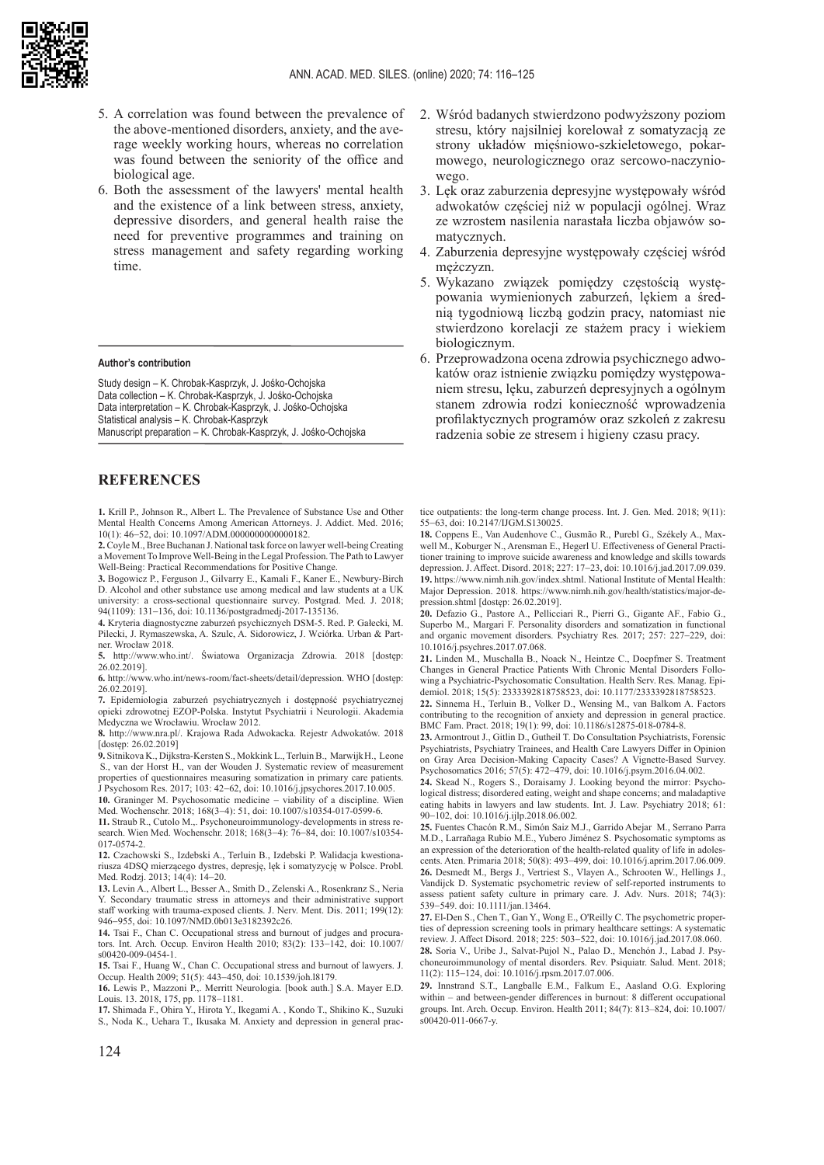

- 5. A correlation was found between the prevalence of the above-mentioned disorders, anxiety, and the average weekly working hours, whereas no correlation was found between the seniority of the office and biological age.
- 6. Both the assessment of the lawyers' mental health and the existence of a link between stress, anxiety, depressive disorders, and general health raise the need for preventive programmes and training on stress management and safety regarding working time.

#### **Author's contribution**

Study design – K. Chrobak-Kasprzyk, J. Jośko-Ochojska Data collection – K. Chrobak-Kasprzyk, J. Jośko-Ochojska Data interpretation – K. Chrobak-Kasprzyk, J. Jośko-Ochojska Statistical analysis – K. Chrobak-Kasprzyk Manuscript preparation – K. Chrobak-Kasprzyk, J. Jośko-Ochojska

# **REFERENCES**

**1.** Krill P., Johnson R., Albert L. The Prevalence of Substance Use and Other Mental Health Concerns Among American Attorneys. J. Addict. Med. 2016; 10(1): 46−52, doi: 10.1097/ADM.0000000000000182.

**2.** Coyle M., Bree Buchanan J. National task force on lawyer well-being Creating a Movement To Improve Well-Being in the Legal Profession. The Path to Lawyer Well-Being: Practical Recommendations for Positive Change.

**3.** Bogowicz P., Ferguson J., Gilvarry E., Kamali F., Kaner E., Newbury-Birch D. Alcohol and other substance use among medical and law students at a UK university: a cross-sectional questionnaire survey. Postgrad. Med. J. 2018; 94(1109): 131−136, doi: 10.1136/postgradmedj-2017-135136.

**4.** Kryteria diagnostyczne zaburzeń psychicznych DSM-5. Red. P. Gałecki, M. Pilecki, J. Rymaszewska, A. Szulc, A. Sidorowicz, J. Wciórka. Urban & Partner. Wrocław 2018.

**5.** http://www.who.int/. Światowa Organizacja Zdrowia. 2018 [dostęp: 26.02.2019].

**6.** http://www.who.int/news-room/fact-sheets/detail/depression. WHO [dostęp: 26.02.2019].

**7.** Epidemiologia zaburzeń psychiatrycznych i dostępność psychiatrycznej opieki zdrowotnej EZOP-Polska. Instytut Psychiatrii i Neurologii. Akademia Medyczna we Wrocławiu. Wrocław 2012.

**8.** http://www.nra.pl/. Krajowa Rada Adwokacka. Rejestr Adwokatów. 2018 [dostęp: 26.02.2019]

**9.** Sitnikova K., Dijkstra-Kersten S., Mokkink L., [Terluin](https://pubmed.ncbi.nlm.nih.gov/?term=Terluin+B&cauthor_id=29167047) B., [Marwijk](https://pubmed.ncbi.nlm.nih.gov/?term=van+Marwijk+HWJ&cauthor_id=29167047)[H.](https://pubmed.ncbi.nlm.nih.gov/29167047/?from_single_result=Psychosom+Res.+Dec%3B103%3A42-62.%2C+2017.&expanded_search_query=Psychosom+Res.+Dec%3B103%3A42-62.%2C+2017.#affiliation-5), [Leone](https://pubmed.ncbi.nlm.nih.gov/?term=Leone+SS&cauthor_id=29167047) [S.,](https://pubmed.ncbi.nlm.nih.gov/29167047/?from_single_result=Psychosom+Res.+Dec%3B103%3A42-62.%2C+2017.&expanded_search_query=Psychosom+Res.+Dec%3B103%3A42-62.%2C+2017.#affiliation-6) [van der Horst](https://pubmed.ncbi.nlm.nih.gov/?term=van+der+Horst+HE&cauthor_id=29167047) [H.](https://pubmed.ncbi.nlm.nih.gov/29167047/?from_single_result=Psychosom+Res.+Dec%3B103%3A42-62.%2C+2017.&expanded_search_query=Psychosom+Res.+Dec%3B103%3A42-62.%2C+2017.#affiliation-7), [van der Wouden](https://pubmed.ncbi.nlm.nih.gov/?term=van+der+Wouden+JC&cauthor_id=29167047) J. Systematic review of measurement properties of questionnaires measuring somatization in primary care patients. J Psychosom Res. 2017; 103: 42−62, doi: 10.1016/j.jpsychores.2017.10.005.

**10.** Graninger M. Psychosomatic medicine − viability of a discipline. Wien Med. Wochenschr. 2018; 168(3−4): 51, doi: 10.1007/s10354-017-0599-6.

**11.** Straub R., Cutolo M.,. Psychoneuroimmunology-developments in stress research. Wien Med. Wochenschr. 2018; 168(3−4): 76−84, doi: 10.1007/s10354- 017-0574-2.

**12.** Czachowski S., Izdebski A., Terluin B., Izdebski P. Walidacja kwestionariusza 4DSQ mierzącego dystres, depresję, lęk i somatyzycję w Polsce. Probl. Med. Rodzj. 2013; 14(4): 14−20.

**13.** Levin A., Albert L., Besser A., Smith D., Zelenski A., Rosenkranz S., Neria Y. Secondary traumatic stress in attorneys and their administrative support staff working with trauma-exposed clients. J. Nerv. Ment. Dis. 2011; 199(12): 946−955, doi: 10.1097/NMD.0b013e3182392c26.

**14.** Tsai F., Chan C. Occupational stress and burnout of judges and procurators. Int. Arch. Occup. Environ Health 2010; 83(2): 133−142, doi: 10.1007/ s00420-009-0454-1.

**15.** Tsai F., Huang W., Chan C. Occupational stress and burnout of lawyers. J. Occup. Health 2009; 51(5): 443−450, doi: 10.1539/joh.l8179.

**16.** Lewis P., Mazzoni P.,. Merritt Neurologia. [book auth.] S.A. Mayer E.D. Louis. 13. 2018, 175, pp. 1178−1181.

**17.** Shimada F., Ohira Y., Hirota Y., Ikegami A. , Kondo T., Shikino K., Suzuki S., Noda K., Uehara T., Ikusaka M. Anxiety and depression in general prac-

- 2. Wśród badanych stwierdzono podwyższony poziom stresu, który najsilniej korelował z somatyzacją ze strony układów mięśniowo-szkieletowego, pokarmowego, neurologicznego oraz sercowo-naczyniowego.
- 3. Lęk oraz zaburzenia depresyjne występowały wśród adwokatów częściej niż w populacji ogólnej. Wraz ze wzrostem nasilenia narastała liczba objawów somatycznych.
- 4. Zaburzenia depresyjne występowały częściej wśród mężczyzn.
- 5. Wykazano związek pomiędzy częstością występowania wymienionych zaburzeń, lękiem a średnią tygodniową liczbą godzin pracy, natomiast nie stwierdzono korelacji ze stażem pracy i wiekiem biologicznym.
- 6. Przeprowadzona ocena zdrowia psychicznego adwokatów oraz istnienie związku pomiędzy występowaniem stresu, lęku, zaburzeń depresyjnych a ogólnym stanem zdrowia rodzi konieczność wprowadzenia profilaktycznych programów oraz szkoleń z zakresu radzenia sobie ze stresem i higieny czasu pracy.

tice outpatients: the long-term change process. Int. J. Gen. Med. 2018; 9(11): 55−63, doi: 10.2147/IJGM.S130025.

**18.** Coppens E., Van Audenhove C., Gusmão R., Purebl G., Székely A., Maxwell M., Koburger N., Arensman E., Hegerl U. Effectiveness of General Practitioner training to improve suicide awareness and knowledge and skills towards depression. J. Affect. Disord. 2018; 227: 17−23, doi: 10.1016/j.jad.2017.09.039. **19.** https://www.nimh.nih.gov/index.shtml. National Institute of Mental Health: Major Depression. 2018. https://www.nimh.nih.gov/health/statistics/major-depression.shtml [dostęp: 26.02.2019].

**20.** Defazio G., Pastore A., Pellicciari R., Pierri G., Gigante AF., Fabio G., Superbo M., Margari F. Personality disorders and somatization in functional and organic movement disorders. Psychiatry Res. 2017; 257: 227−229, doi: 10.1016/j.psychres.2017.07.068.

**21.** Linden M., Muschalla B., Noack N., Heintze C., Doepfmer S. Treatment Changes in General Practice Patients With Chronic Mental Disorders Following a Psychiatric-Psychosomatic Consultation. Health Serv. Res. Manag. Epidemiol. 2018; 15(5): 2333392818758523, doi: 10.1177/2333392818758523.

**22.** Sinnema H., Terluin B., Volker D., Wensing M., van Balkom A. Factors contributing to the recognition of anxiety and depression in general practice. BMC Fam. Pract. 2018; 19(1): 99, doi: 10.1186/s12875-018-0784-8.

**23.** Armontrout J., Gitlin D., Gutheil T. Do Consultation Psychiatrists, Forensic Psychiatrists, Psychiatry Trainees, and Health Care Lawyers Differ in Opinion on Gray Area Decision-Making Capacity Cases? A Vignette-Based Survey. Psychosomatics 2016; 57(5): 472−479, doi: 10.1016/j.psym.2016.04.002.

**24.** Skead N., Rogers S., Doraisamy J. Looking beyond the mirror: Psychological distress; disordered eating, weight and shape concerns; and maladaptive eating habits in lawyers and law students. Int. J. Law. Psychiatry 2018; 61: 90−102, doi: 10.1016/j.ijlp.2018.06.002.

**25.** Fuentes Chacón R.M., Simón Saiz M.J., Garrido Abejar M., Serrano Parra M.D., Larrañaga Rubio M.E., Yubero Jiménez S. Psychosomatic symptoms as an expression of the deterioration of the health-related quality of life in adolescents. Aten. Primaria 2018; 50(8): 493−499, doi: 10.1016/j.aprim.2017.06.009. **26.** Desmedt M., Bergs J., Vertriest S., Vlayen A., Schrooten W., Hellings J., Vandijck D. Systematic psychometric review of self-reported instruments to assess patient safety culture in primary care. J. Adv. Nurs. 2018; 74(3): 539−549. doi: 10.1111/jan.13464.

**27.** El-Den S., Chen T., Gan Y., Wong E., O'Reilly C. The psychometric properties of depression screening tools in primary healthcare settings: A systematic review. J. Affect Disord. 2018; 225: 503−522, doi: 10.1016/j.jad.2017.08.060.

**28.** Soria V., Uribe J., Salvat-Pujol N., Palao D., Menchón J., Labad J. Psychoneuroimmunology of mental disorders. Rev. Psiquiatr. Salud. Ment. 2018; 11(2): 115−124, doi: 10.1016/j.rpsm.2017.07.006.

**29.** Innstrand S.T., Langballe E.M., Falkum E., Aasland O.G. Exploring within – and between-gender differences in burnout: 8 different occupational groups. Int. Arch. Occup. Environ. Health 2011; 84(7): 813–824, doi: 10.1007/ s00420-011-0667-y.